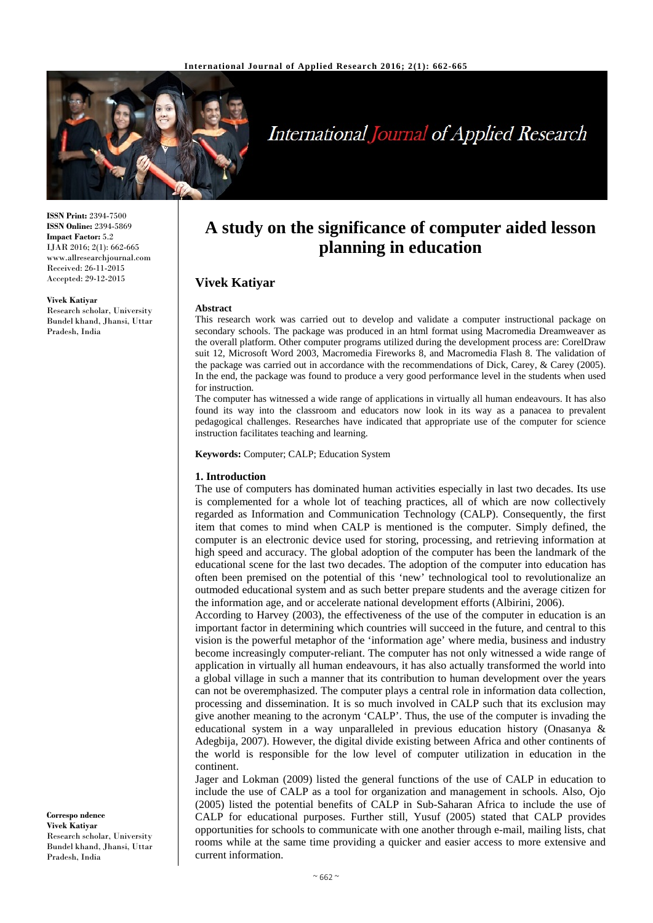

# **International Journal of Applied Research**

**ISSN Print:** 2394-7500 **ISSN Online:** 2394-5869 **Impact Factor:** 5.2 IJAR 2016; 2(1): 662-665 www.allresearchjournal.com Received: 26-11-2015 Accepted: 29-12-2015

#### **Vivek Katiyar**

Research scholar, University Bundel khand, Jhansi, Uttar Pradesh, India

**A study on the significance of computer aided lesson planning in education**

# **Vivek Katiyar**

#### **Abstract**

This research work was carried out to develop and validate a computer instructional package on secondary schools. The package was produced in an html format using Macromedia Dreamweaver as the overall platform. Other computer programs utilized during the development process are: CorelDraw suit 12, Microsoft Word 2003, Macromedia Fireworks 8, and Macromedia Flash 8. The validation of the package was carried out in accordance with the recommendations of Dick, Carey, & Carey (2005). In the end, the package was found to produce a very good performance level in the students when used for instruction.

The computer has witnessed a wide range of applications in virtually all human endeavours. It has also found its way into the classroom and educators now look in its way as a panacea to prevalent pedagogical challenges. Researches have indicated that appropriate use of the computer for science instruction facilitates teaching and learning.

**Keywords:** Computer; CALP; Education System

#### **1. Introduction**

The use of computers has dominated human activities especially in last two decades. Its use is complemented for a whole lot of teaching practices, all of which are now collectively regarded as Information and Communication Technology (CALP). Consequently, the first item that comes to mind when CALP is mentioned is the computer. Simply defined, the computer is an electronic device used for storing, processing, and retrieving information at high speed and accuracy. The global adoption of the computer has been the landmark of the educational scene for the last two decades. The adoption of the computer into education has often been premised on the potential of this 'new' technological tool to revolutionalize an outmoded educational system and as such better prepare students and the average citizen for the information age, and or accelerate national development efforts (Albirini, 2006).

According to Harvey (2003), the effectiveness of the use of the computer in education is an important factor in determining which countries will succeed in the future, and central to this vision is the powerful metaphor of the 'information age' where media, business and industry become increasingly computer-reliant. The computer has not only witnessed a wide range of application in virtually all human endeavours, it has also actually transformed the world into a global village in such a manner that its contribution to human development over the years can not be overemphasized. The computer plays a central role in information data collection, processing and dissemination. It is so much involved in CALP such that its exclusion may give another meaning to the acronym 'CALP'. Thus, the use of the computer is invading the educational system in a way unparalleled in previous education history (Onasanya & Adegbija, 2007). However, the digital divide existing between Africa and other continents of the world is responsible for the low level of computer utilization in education in the continent.

Jager and Lokman (2009) listed the general functions of the use of CALP in education to include the use of CALP as a tool for organization and management in schools. Also, Ojo (2005) listed the potential benefits of CALP in Sub-Saharan Africa to include the use of CALP for educational purposes. Further still, Yusuf (2005) stated that CALP provides opportunities for schools to communicate with one another through e-mail, mailing lists, chat rooms while at the same time providing a quicker and easier access to more extensive and current information.

**Correspo ndence Vivek Katiyar** Research scholar, University Bundel khand, Jhansi, Uttar Pradesh, India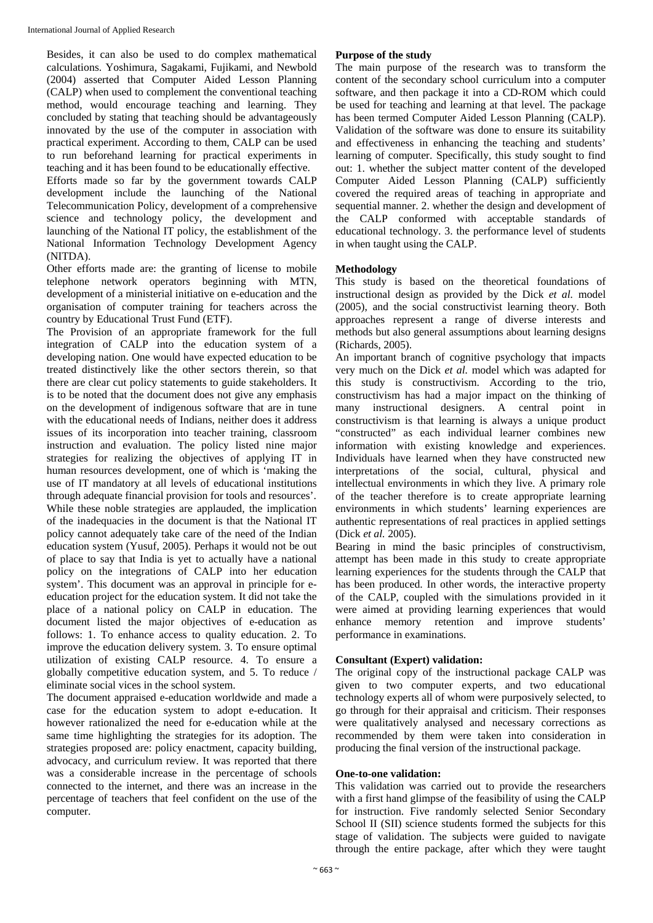Besides, it can also be used to do complex mathematical calculations. Yoshimura, Sagakami, Fujikami, and Newbold (2004) asserted that Computer Aided Lesson Planning (CALP) when used to complement the conventional teaching method, would encourage teaching and learning. They concluded by stating that teaching should be advantageously innovated by the use of the computer in association with practical experiment. According to them, CALP can be used to run beforehand learning for practical experiments in teaching and it has been found to be educationally effective. Efforts made so far by the government towards CALP development include the launching of the National Telecommunication Policy, development of a comprehensive science and technology policy, the development and launching of the National IT policy, the establishment of the National Information Technology Development Agency (NITDA).

Other efforts made are: the granting of license to mobile telephone network operators beginning with MTN, development of a ministerial initiative on e-education and the organisation of computer training for teachers across the country by Educational Trust Fund (ETF).

The Provision of an appropriate framework for the full integration of CALP into the education system of a developing nation. One would have expected education to be treated distinctively like the other sectors therein, so that there are clear cut policy statements to guide stakeholders. It is to be noted that the document does not give any emphasis on the development of indigenous software that are in tune with the educational needs of Indians, neither does it address issues of its incorporation into teacher training, classroom instruction and evaluation. The policy listed nine major strategies for realizing the objectives of applying IT in human resources development, one of which is 'making the use of IT mandatory at all levels of educational institutions through adequate financial provision for tools and resources'. While these noble strategies are applauded, the implication of the inadequacies in the document is that the National IT policy cannot adequately take care of the need of the Indian education system (Yusuf, 2005). Perhaps it would not be out of place to say that India is yet to actually have a national policy on the integrations of CALP into her education system'. This document was an approval in principle for eeducation project for the education system. It did not take the place of a national policy on CALP in education. The document listed the major objectives of e-education as follows: 1. To enhance access to quality education. 2. To improve the education delivery system. 3. To ensure optimal utilization of existing CALP resource. 4. To ensure a globally competitive education system, and 5. To reduce / eliminate social vices in the school system.

The document appraised e-education worldwide and made a case for the education system to adopt e-education. It however rationalized the need for e-education while at the same time highlighting the strategies for its adoption. The strategies proposed are: policy enactment, capacity building, advocacy, and curriculum review. It was reported that there was a considerable increase in the percentage of schools connected to the internet, and there was an increase in the percentage of teachers that feel confident on the use of the computer.

# **Purpose of the study**

The main purpose of the research was to transform the content of the secondary school curriculum into a computer software, and then package it into a CD-ROM which could be used for teaching and learning at that level. The package has been termed Computer Aided Lesson Planning (CALP). Validation of the software was done to ensure its suitability and effectiveness in enhancing the teaching and students' learning of computer. Specifically, this study sought to find out: 1. whether the subject matter content of the developed Computer Aided Lesson Planning (CALP) sufficiently covered the required areas of teaching in appropriate and sequential manner. 2. whether the design and development of the CALP conformed with acceptable standards of educational technology. 3. the performance level of students in when taught using the CALP.

# **Methodology**

This study is based on the theoretical foundations of instructional design as provided by the Dick *et al.* model (2005), and the social constructivist learning theory. Both approaches represent a range of diverse interests and methods but also general assumptions about learning designs (Richards, 2005).

An important branch of cognitive psychology that impacts very much on the Dick *et al.* model which was adapted for this study is constructivism. According to the trio, constructivism has had a major impact on the thinking of many instructional designers. A central point in constructivism is that learning is always a unique product "constructed" as each individual learner combines new information with existing knowledge and experiences. Individuals have learned when they have constructed new interpretations of the social, cultural, physical and intellectual environments in which they live. A primary role of the teacher therefore is to create appropriate learning environments in which students' learning experiences are authentic representations of real practices in applied settings (Dick *et al.* 2005).

Bearing in mind the basic principles of constructivism, attempt has been made in this study to create appropriate learning experiences for the students through the CALP that has been produced. In other words, the interactive property of the CALP, coupled with the simulations provided in it were aimed at providing learning experiences that would enhance memory retention and improve students' performance in examinations.

# **Consultant (Expert) validation:**

The original copy of the instructional package CALP was given to two computer experts, and two educational technology experts all of whom were purposively selected, to go through for their appraisal and criticism. Their responses were qualitatively analysed and necessary corrections as recommended by them were taken into consideration in producing the final version of the instructional package.

# **One-to-one validation:**

This validation was carried out to provide the researchers with a first hand glimpse of the feasibility of using the CALP for instruction. Five randomly selected Senior Secondary School II (SII) science students formed the subjects for this stage of validation. The subjects were guided to navigate through the entire package, after which they were taught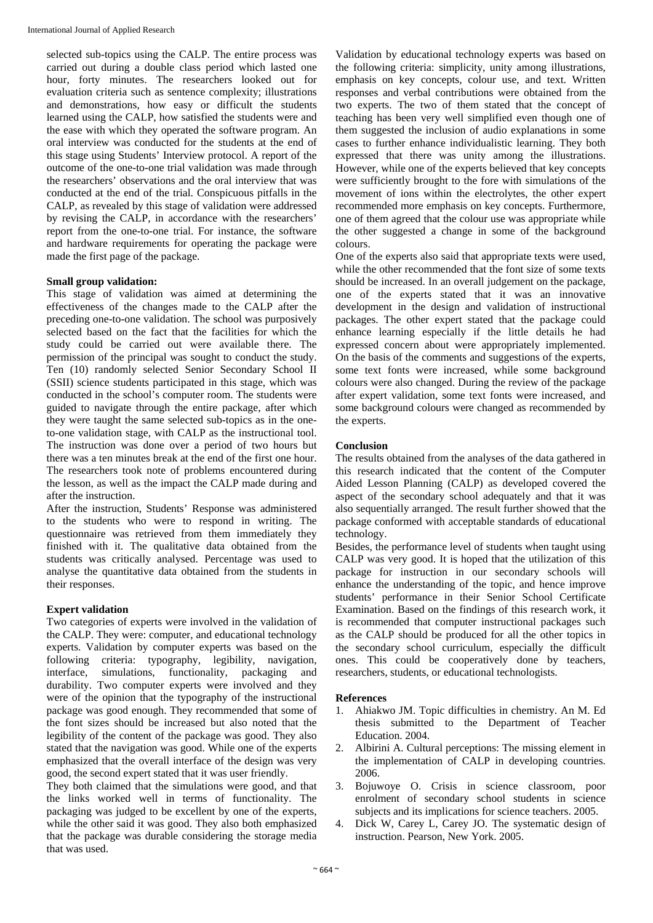selected sub-topics using the CALP. The entire process was carried out during a double class period which lasted one hour, forty minutes. The researchers looked out for evaluation criteria such as sentence complexity; illustrations and demonstrations, how easy or difficult the students learned using the CALP, how satisfied the students were and the ease with which they operated the software program. An oral interview was conducted for the students at the end of this stage using Students' Interview protocol. A report of the outcome of the one-to-one trial validation was made through the researchers' observations and the oral interview that was conducted at the end of the trial. Conspicuous pitfalls in the CALP, as revealed by this stage of validation were addressed by revising the CALP, in accordance with the researchers' report from the one-to-one trial. For instance, the software and hardware requirements for operating the package were made the first page of the package.

# **Small group validation:**

This stage of validation was aimed at determining the effectiveness of the changes made to the CALP after the preceding one-to-one validation. The school was purposively selected based on the fact that the facilities for which the study could be carried out were available there. The permission of the principal was sought to conduct the study. Ten (10) randomly selected Senior Secondary School II (SSII) science students participated in this stage, which was conducted in the school's computer room. The students were guided to navigate through the entire package, after which they were taught the same selected sub-topics as in the oneto-one validation stage, with CALP as the instructional tool. The instruction was done over a period of two hours but there was a ten minutes break at the end of the first one hour. The researchers took note of problems encountered during the lesson, as well as the impact the CALP made during and after the instruction.

After the instruction, Students' Response was administered to the students who were to respond in writing. The questionnaire was retrieved from them immediately they finished with it. The qualitative data obtained from the students was critically analysed. Percentage was used to analyse the quantitative data obtained from the students in their responses.

# **Expert validation**

Two categories of experts were involved in the validation of the CALP. They were: computer, and educational technology experts. Validation by computer experts was based on the following criteria: typography, legibility, navigation, interface, simulations, functionality, packaging and durability. Two computer experts were involved and they were of the opinion that the typography of the instructional package was good enough. They recommended that some of the font sizes should be increased but also noted that the legibility of the content of the package was good. They also stated that the navigation was good. While one of the experts emphasized that the overall interface of the design was very good, the second expert stated that it was user friendly.

They both claimed that the simulations were good, and that the links worked well in terms of functionality. The packaging was judged to be excellent by one of the experts, while the other said it was good. They also both emphasized that the package was durable considering the storage media that was used.

Validation by educational technology experts was based on the following criteria: simplicity, unity among illustrations, emphasis on key concepts, colour use, and text. Written responses and verbal contributions were obtained from the two experts. The two of them stated that the concept of teaching has been very well simplified even though one of them suggested the inclusion of audio explanations in some cases to further enhance individualistic learning. They both expressed that there was unity among the illustrations. However, while one of the experts believed that key concepts were sufficiently brought to the fore with simulations of the movement of ions within the electrolytes, the other expert recommended more emphasis on key concepts. Furthermore, one of them agreed that the colour use was appropriate while the other suggested a change in some of the background colours.

One of the experts also said that appropriate texts were used, while the other recommended that the font size of some texts should be increased. In an overall judgement on the package, one of the experts stated that it was an innovative development in the design and validation of instructional packages. The other expert stated that the package could enhance learning especially if the little details he had expressed concern about were appropriately implemented. On the basis of the comments and suggestions of the experts, some text fonts were increased, while some background colours were also changed. During the review of the package after expert validation, some text fonts were increased, and some background colours were changed as recommended by the experts.

# **Conclusion**

The results obtained from the analyses of the data gathered in this research indicated that the content of the Computer Aided Lesson Planning (CALP) as developed covered the aspect of the secondary school adequately and that it was also sequentially arranged. The result further showed that the package conformed with acceptable standards of educational technology.

Besides, the performance level of students when taught using CALP was very good. It is hoped that the utilization of this package for instruction in our secondary schools will enhance the understanding of the topic, and hence improve students' performance in their Senior School Certificate Examination. Based on the findings of this research work, it is recommended that computer instructional packages such as the CALP should be produced for all the other topics in the secondary school curriculum, especially the difficult ones. This could be cooperatively done by teachers, researchers, students, or educational technologists.

# **References**

- 1. Ahiakwo JM. Topic difficulties in chemistry. An M. Ed thesis submitted to the Department of Teacher Education. 2004.
- 2. Albirini A. Cultural perceptions: The missing element in the implementation of CALP in developing countries. 2006.
- 3. Bojuwoye O. Crisis in science classroom, poor enrolment of secondary school students in science subjects and its implications for science teachers. 2005.
- 4. Dick W, Carey L, Carey JO. The systematic design of instruction. Pearson, New York. 2005.